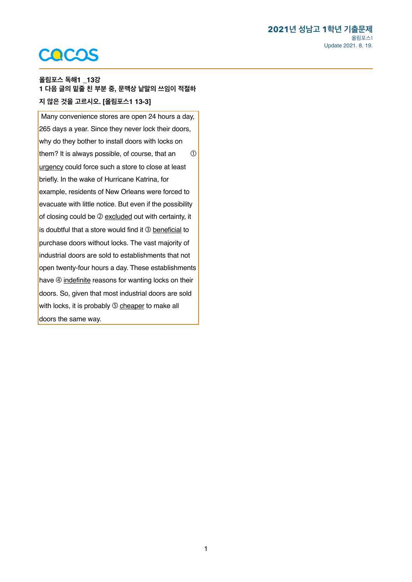## COCOS

<span id="page-0-0"></span>텍스트를 입력하세요. **올림포스 독해1 \_13<sup>강</sup> [1](#page-1-0) 다음 글의 밑줄 친 부분 중, 문맥상 낱말의 쓰임이 적절하 지 않은 것을 고르시오. [올림포스1 13-3]** 

 Many convenience stores are open 24 hours a day, 265 days a year. Since they never lock their doors, why do they bother to install doors with locks on them? It is always possible, of course, that an  $\qquad \circled$ urgency could force such a store to close at least briefly. In the wake of Hurricane Katrina, for example, residents of New Orleans were forced to evacuate with little notice. But even if the possibility of closing could be 2 excluded out with certainty, it is doubtful that a store would find it 3 beneficial to purchase doors without locks. The vast majority of industrial doors are sold to establishments that not open twenty-four hours a day. These establishments have  $\circled{a}$  indefinite reasons for wanting locks on their doors. So, given that most industrial doors are sold with locks, it is probably **S** cheaper to make all doors the same way.